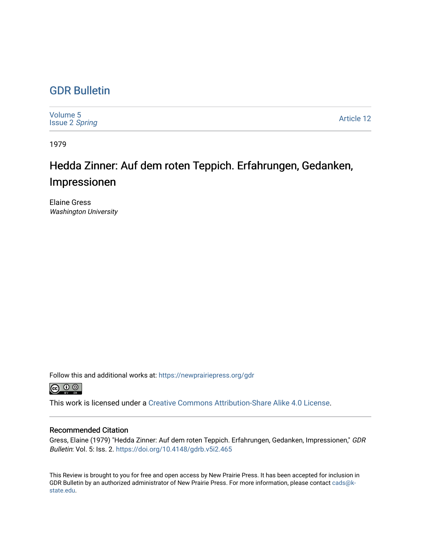## [GDR Bulletin](https://newprairiepress.org/gdr)

| Volume 5<br><b>Issue 2 Spring</b> | <b>Article 12</b> |
|-----------------------------------|-------------------|
|-----------------------------------|-------------------|

1979

## Hedda Zinner: Auf dem roten Teppich. Erfahrungen, Gedanken, Impressionen

Elaine Gress Washington University

Follow this and additional works at: [https://newprairiepress.org/gdr](https://newprairiepress.org/gdr?utm_source=newprairiepress.org%2Fgdr%2Fvol5%2Fiss2%2F12&utm_medium=PDF&utm_campaign=PDFCoverPages) 



This work is licensed under a [Creative Commons Attribution-Share Alike 4.0 License.](https://creativecommons.org/licenses/by-sa/4.0/)

## Recommended Citation

Gress, Elaine (1979) "Hedda Zinner: Auf dem roten Teppich. Erfahrungen, Gedanken, Impressionen," GDR Bulletin: Vol. 5: Iss. 2. <https://doi.org/10.4148/gdrb.v5i2.465>

This Review is brought to you for free and open access by New Prairie Press. It has been accepted for inclusion in GDR Bulletin by an authorized administrator of New Prairie Press. For more information, please contact [cads@k](mailto:cads@k-state.edu)[state.edu](mailto:cads@k-state.edu).